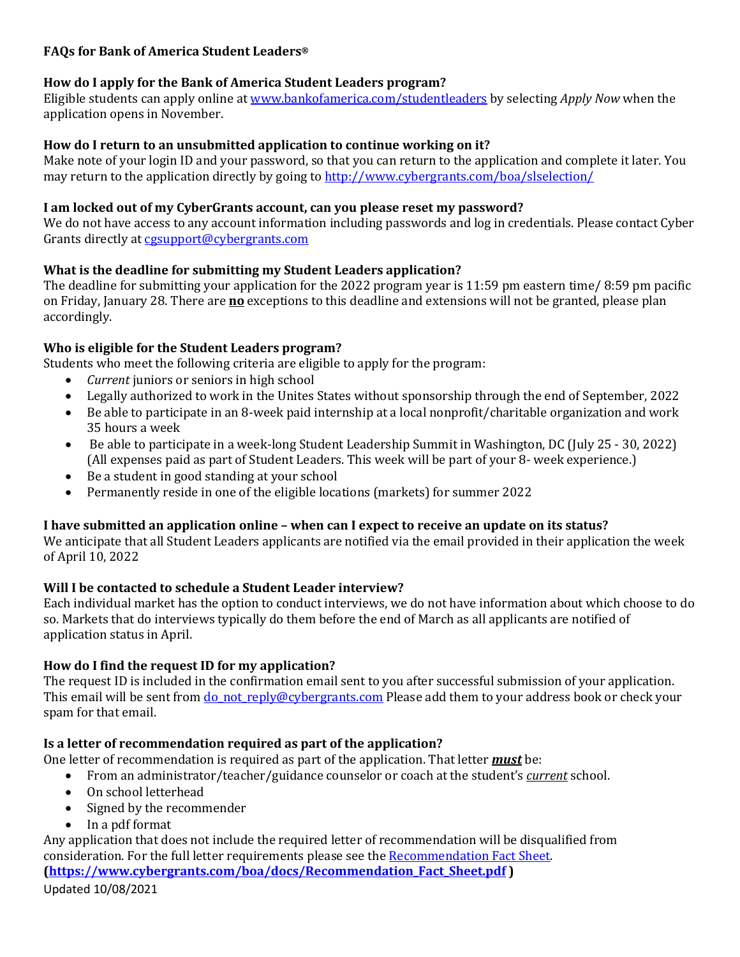# **FAQs for Bank of America Student Leaders®**

# **How do I apply for the Bank of America Student Leaders program?**

Eligible students can apply online a[t www.bankofamerica.com/studentleaders](http://www.bankofamerica.com/studentleaders) by selecting *Apply Now* when the application opens in November.

# **How do I return to an unsubmitted application to continue working on it?**

Make note of your login ID and your password, so that you can return to the application and complete it later. You may return to the application directly by going to<http://www.cybergrants.com/boa/slselection/>

## **I am locked out of my CyberGrants account, can you please reset my password?**

We do not have access to any account information including passwords and log in credentials. Please contact Cyber Grants directly at cesupport@cybergrants.com

# **What is the deadline for submitting my Student Leaders application?**

The deadline for submitting your application for the 2022 program year is 11:59 pm eastern time/ 8:59 pm pacific on Friday, January 28. There are **no** exceptions to this deadline and extensions will not be granted, please plan accordingly.

# **Who is eligible for the Student Leaders program?**

Students who meet the following criteria are eligible to apply for the program:

- *Current* juniors or seniors in high school
- Legally authorized to work in the Unites States without sponsorship through the end of September, 2022<br>• Be able to participate in an 8-week paid internship at a local nonprofit/charitable organization and work
- Be able to participate in an 8‐week paid internship at a local nonprofit/charitable organization and work 35 hours a week
- Be able to participate in a week-long Student Leadership Summit in Washington, DC (July 25 30, 2022) (All expenses paid as part of Student Leaders. This week will be part of your 8‐ week experience.)
- Be a student in good standing at your school
- Permanently reside in one of the eligible locations (markets) for summer 2022

# **I have submitted an application online – when can I expect to receive an update on its status?**

We anticipate that all Student Leaders applicants are notified via the email provided in their application the week of April 10, 2022

# **Will I be contacted to schedule a Student Leader interview?**

Each individual market has the option to conduct interviews, we do not have information about which choose to do so. Markets that do interviews typically do them before the end of March as all applicants are notified of application status in April.

### **How do I find the request ID for my application?**

The request ID is included in the confirmation email sent to you after successful submission of your application. This email will be sent fro[m do\\_not\\_reply@cybergrants.com](mailto:do_not_reply@cybergrants.com) Please add them to your address book or check your spam for that email.

# **Is a letter of recommendation required as part of the application?**

One letter of recommendation is required as part of the application. That letter *must* be:

- From an administrator/teacher/guidance counselor or coach at the student's *current* school.
- On school letterhead
- Signed by the recommender<br>• In a ndf format
- In a pdf format

Any application that does not include the required letter of recommendation will be disqualified from consideration. For the full letter requirements please see the [Recommendation Fact Sheet.](https://www.cybergrants.com/boa/docs/Recommendation_Fact_Sheet.pdf) **[\(https://www.cybergrants.com/boa/docs/Recommendation\\_Fact\\_Sheet.pdf](https://www.cybergrants.com/boa/docs/Recommendation_Fact_Sheet.pdf) )**